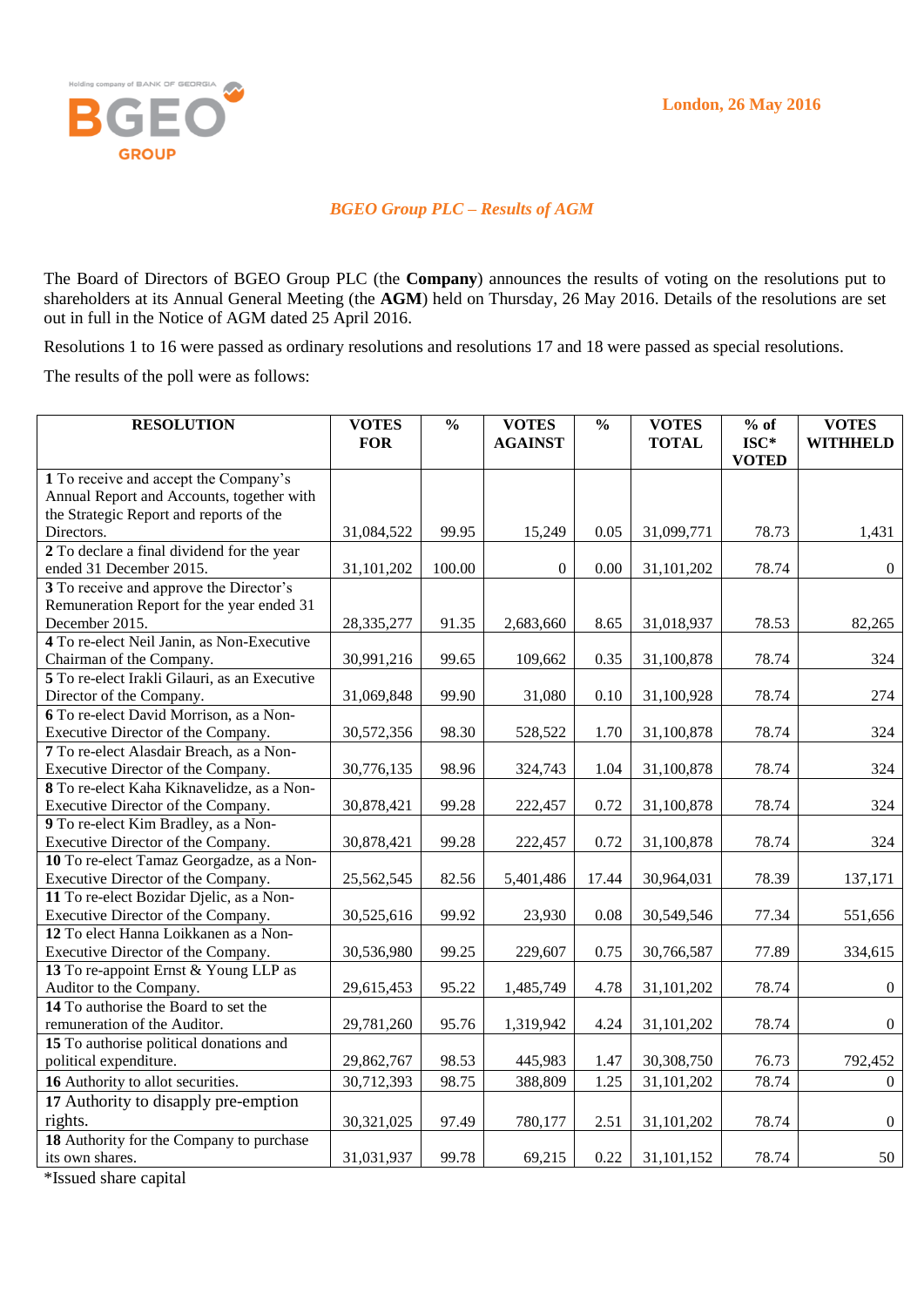

## *BGEO Group PLC – Results of AGM*

The Board of Directors of BGEO Group PLC (the **Company**) announces the results of voting on the resolutions put to shareholders at its Annual General Meeting (the **AGM**) held on Thursday, 26 May 2016. Details of the resolutions are set out in full in the Notice of AGM dated 25 April 2016.

Resolutions 1 to 16 were passed as ordinary resolutions and resolutions 17 and 18 were passed as special resolutions.

The results of the poll were as follows:

| <b>RESOLUTION</b>                             | <b>VOTES</b> | $\frac{0}{0}$ | <b>VOTES</b>   | $\frac{0}{0}$ | <b>VOTES</b> | $%$ of                 | <b>VOTES</b>    |
|-----------------------------------------------|--------------|---------------|----------------|---------------|--------------|------------------------|-----------------|
|                                               | <b>FOR</b>   |               | <b>AGAINST</b> |               | <b>TOTAL</b> | $ISC*$<br><b>VOTED</b> | <b>WITHHELD</b> |
| 1 To receive and accept the Company's         |              |               |                |               |              |                        |                 |
| Annual Report and Accounts, together with     |              |               |                |               |              |                        |                 |
| the Strategic Report and reports of the       |              |               |                |               |              |                        |                 |
| Directors.                                    | 31,084,522   | 99.95         | 15,249         | 0.05          | 31,099,771   | 78.73                  | 1,431           |
| 2 To declare a final dividend for the year    |              |               |                |               |              |                        |                 |
| ended 31 December 2015.                       | 31,101,202   | 100.00        | $\overline{0}$ | 0.00          | 31,101,202   | 78.74                  | $\overline{0}$  |
| 3 To receive and approve the Director's       |              |               |                |               |              |                        |                 |
| Remuneration Report for the year ended 31     |              |               |                |               |              |                        |                 |
| December 2015.                                | 28,335,277   | 91.35         | 2,683,660      | 8.65          | 31,018,937   | 78.53                  | 82,265          |
| 4 To re-elect Neil Janin, as Non-Executive    |              |               |                |               |              |                        |                 |
| Chairman of the Company.                      | 30,991,216   | 99.65         | 109,662        | 0.35          | 31,100,878   | 78.74                  | 324             |
| 5 To re-elect Irakli Gilauri, as an Executive |              |               |                |               |              |                        |                 |
| Director of the Company.                      | 31,069,848   | 99.90         | 31,080         | 0.10          | 31,100,928   | 78.74                  | 274             |
| 6 To re-elect David Morrison, as a Non-       |              |               |                |               |              |                        |                 |
| Executive Director of the Company.            | 30,572,356   | 98.30         | 528,522        | 1.70          | 31,100,878   | 78.74                  | 324             |
| 7 To re-elect Alasdair Breach, as a Non-      |              |               |                |               |              |                        |                 |
| Executive Director of the Company.            | 30,776,135   | 98.96         | 324,743        | 1.04          | 31,100,878   | 78.74                  | 324             |
| 8 To re-elect Kaha Kiknavelidze, as a Non-    |              |               |                |               |              |                        |                 |
| Executive Director of the Company.            | 30,878,421   | 99.28         | 222,457        | 0.72          | 31,100,878   | 78.74                  | 324             |
| 9 To re-elect Kim Bradley, as a Non-          |              |               |                |               |              |                        |                 |
| Executive Director of the Company.            | 30,878,421   | 99.28         | 222,457        | 0.72          | 31,100,878   | 78.74                  | 324             |
| 10 To re-elect Tamaz Georgadze, as a Non-     |              |               |                |               |              |                        |                 |
| Executive Director of the Company.            | 25,562,545   | 82.56         | 5,401,486      | 17.44         | 30,964,031   | 78.39                  | 137,171         |
| 11 To re-elect Bozidar Djelic, as a Non-      |              |               |                |               |              |                        |                 |
| Executive Director of the Company.            | 30,525,616   | 99.92         | 23,930         | 0.08          | 30,549,546   | 77.34                  | 551,656         |
| 12 To elect Hanna Loikkanen as a Non-         |              |               |                |               |              |                        |                 |
| Executive Director of the Company.            | 30,536,980   | 99.25         | 229,607        | 0.75          | 30,766,587   | 77.89                  | 334,615         |
| 13 To re-appoint Ernst & Young LLP as         |              |               |                |               |              |                        |                 |
| Auditor to the Company.                       | 29,615,453   | 95.22         | 1,485,749      | 4.78          | 31,101,202   | 78.74                  | $\overline{0}$  |
| 14 To authorise the Board to set the          |              |               |                |               |              |                        |                 |
| remuneration of the Auditor.                  | 29,781,260   | 95.76         | 1,319,942      | 4.24          | 31,101,202   | 78.74                  | $\overline{0}$  |
| 15 To authorise political donations and       |              |               |                |               |              |                        |                 |
| political expenditure.                        | 29,862,767   | 98.53         | 445,983        | 1.47          | 30,308,750   | 76.73                  | 792,452         |
| 16 Authority to allot securities.             | 30,712,393   | 98.75         | 388,809        | 1.25          | 31,101,202   | 78.74                  | $\overline{0}$  |
| 17 Authority to disapply pre-emption          |              |               |                |               |              |                        |                 |
| rights.                                       | 30,321,025   | 97.49         | 780,177        | 2.51          | 31,101,202   | 78.74                  | $\overline{0}$  |
| 18 Authority for the Company to purchase      |              |               |                |               |              |                        |                 |
| its own shares.                               | 31,031,937   | 99.78         | 69,215         | 0.22          | 31,101,152   | 78.74                  | 50              |

\*Issued share capital